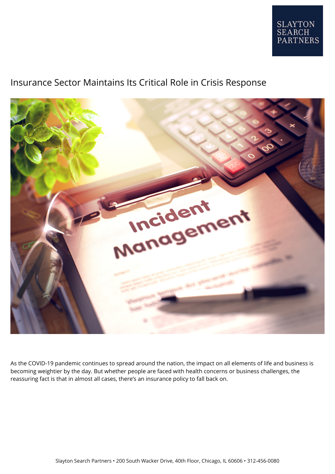

## Insurance Sector Maintains Its Critical Role in Crisis Response



As the COVID-19 pandemic continues to spread around the nation, the impact on all elements of life and business is becoming weightier by the day. But whether people are faced with health concerns or business challenges, the reassuring fact is that in almost all cases, there's an insurance policy to fall back on.